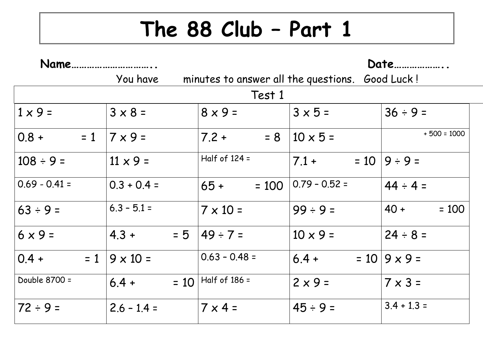## **The 88 Club – Part 1**

| Name              |                   |                                                 | Date            |                       |  |  |
|-------------------|-------------------|-------------------------------------------------|-----------------|-----------------------|--|--|
|                   | You have          | minutes to answer all the questions. Good Luck! |                 |                       |  |  |
| Test 1            |                   |                                                 |                 |                       |  |  |
| $1 \times 9 =$    | $3 \times 8 =$    | $8 \times 9 =$                                  | $3 \times 5 =$  | $36 ÷ 9 =$            |  |  |
| $ 0.8 +$<br>$= 1$ | $7 \times 9 =$    | $7.2 +$<br>$= 8$                                | $10 \times 5 =$ | $+500 = 1000$         |  |  |
| $108 \div 9 =$    | $11 \times 9 =$   | Half of $124 =$                                 | $7.1 +$         | $= 10  9 \div 9 =$    |  |  |
| $ 0.69 - 0.41 $   | $0.3 + 0.4 =$     | $65 +$<br>$= 100$                               | $0.79 - 0.52 =$ | $44 \div 4 =$         |  |  |
| $ 63 \div 9 =$    | $6.3 - 5.1 =$     | $7 \times 10 =$                                 | $99 \div 9 =$   | $40 +$<br>$= 100$     |  |  |
| $6 \times 9 =$    | $= 5$<br>$4.3 +$  | $49 \div 7 =$                                   | $10 \times 9 =$ | $24 \div 8 =$         |  |  |
| $ 0.4 +$<br>$= 1$ | $9 \times 10 =$   | $0.63 - 0.48 =$                                 | $6.4 +$         | $= 10   9 \times 9 =$ |  |  |
| Double 8700 =     | $= 10$<br>$6.4 +$ | Half of $186 =$                                 | $2 \times 9 =$  | $7 \times 3 =$        |  |  |
| $ 72 \div 9 =$    | $2.6 - 1.4 =$     | $7 \times 4 =$                                  | $45 \div 9 =$   | $3.4 + 1.3 =$         |  |  |